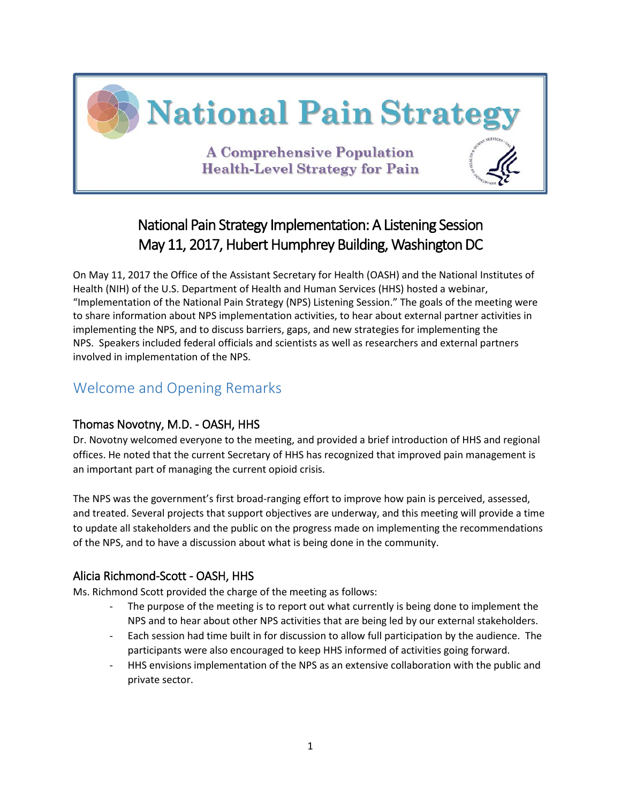

# National Pain Strategy Implementation: A Listening Session May 11, 2017, Hubert Humphrey Building, Washington DC

On May 11, 2017 the Office of the Assistant Secretary for Health (OASH) and the National Institutes of Health (NIH) of the U.S. Department of Health and Human Services (HHS) hosted a webinar, "Implementation of the National Pain Strategy (NPS) Listening Session." The goals of the meeting were to share information about NPS implementation activities, to hear about external partner activities in implementing the NPS, and to discuss barriers, gaps, and new strategies for implementing the NPS. Speakers included federal officials and scientists as well as researchers and external partners involved in implementation of the NPS.

## Welcome and Opening Remarks

### Thomas Novotny, M.D. - OASH, HHS

Dr. Novotny welcomed everyone to the meeting, and provided a brief introduction of HHS and regional offices. He noted that the current Secretary of HHS has recognized that improved pain management is an important part of managing the current opioid crisis.

The NPS was the government's first broad-ranging effort to improve how pain is perceived, assessed, and treated. Several projects that support objectives are underway, and this meeting will provide a time to update all stakeholders and the public on the progress made on implementing the recommendations of the NPS, and to have a discussion about what is being done in the community.

### Alicia Richmond-Scott - OASH, HHS

Ms. Richmond Scott provided the charge of the meeting as follows:

- The purpose of the meeting is to report out what currently is being done to implement the NPS and to hear about other NPS activities that are being led by our external stakeholders.
- Each session had time built in for discussion to allow full participation by the audience. The participants were also encouraged to keep HHS informed of activities going forward.
- HHS envisions implementation of the NPS as an extensive collaboration with the public and private sector.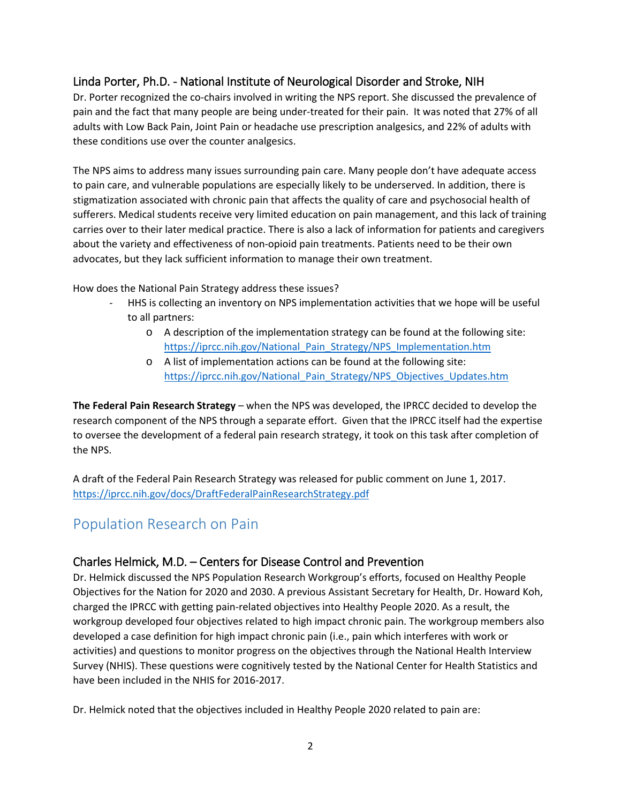## Linda Porter, Ph.D. - National Institute of Neurological Disorder and Stroke, NIH

Dr. Porter recognized the co-chairs involved in writing the NPS report. She discussed the prevalence of pain and the fact that many people are being under-treated for their pain. It was noted that 27% of all adults with Low Back Pain, Joint Pain or headache use prescription analgesics, and 22% of adults with these conditions use over the counter analgesics.

The NPS aims to address many issues surrounding pain care. Many people don't have adequate access to pain care, and vulnerable populations are especially likely to be underserved. In addition, there is stigmatization associated with chronic pain that affects the quality of care and psychosocial health of sufferers. Medical students receive very limited education on pain management, and this lack of training carries over to their later medical practice. There is also a lack of information for patients and caregivers about the variety and effectiveness of non-opioid pain treatments. Patients need to be their own advocates, but they lack sufficient information to manage their own treatment.

How does the National Pain Strategy address these issues?

- HHS is collecting an inventory on NPS implementation activities that we hope will be useful to all partners:
	- o A description of the implementation strategy can be found at the following site: [https://iprcc.nih.gov/National\\_Pain\\_Strategy/NPS\\_Implementation.htm](https://iprcc.nih.gov/National_Pain_Strategy/NPS_Implementation.htm)
	- o A list of implementation actions can be found at the following site: [https://iprcc.nih.gov/National\\_Pain\\_Strategy/NPS\\_Objectives\\_Updates.htm](https://iprcc.nih.gov/National_Pain_Strategy/NPS_Objectives_Updates.htm)

**The Federal Pain Research Strategy** – when the NPS was developed, the IPRCC decided to develop the research component of the NPS through a separate effort. Given that the IPRCC itself had the expertise to oversee the development of a federal pain research strategy, it took on this task after completion of the NPS.

A draft of the Federal Pain Research Strategy was released for public comment on June 1, 2017. <https://iprcc.nih.gov/docs/DraftFederalPainResearchStrategy.pdf>

## Population Research on Pain

### Charles Helmick, M.D. – Centers for Disease Control and Prevention

Dr. Helmick discussed the NPS Population Research Workgroup's efforts, focused on Healthy People Objectives for the Nation for 2020 and 2030. A previous Assistant Secretary for Health, Dr. Howard Koh, charged the IPRCC with getting pain-related objectives into Healthy People 2020. As a result, the workgroup developed four objectives related to high impact chronic pain. The workgroup members also developed a case definition for high impact chronic pain (i.e., pain which interferes with work or activities) and questions to monitor progress on the objectives through the National Health Interview Survey (NHIS). These questions were cognitively tested by the National Center for Health Statistics and have been included in the NHIS for 2016-2017.

Dr. Helmick noted that the objectives included in Healthy People 2020 related to pain are: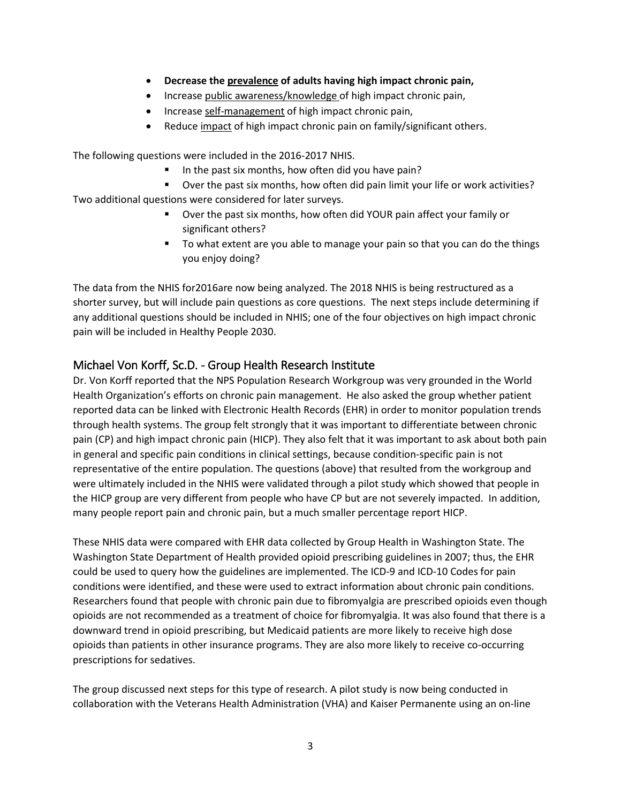- **Decrease the prevalence of adults having high impact chronic pain,**
- Increase public awareness/knowledge of high impact chronic pain,
- Increase self-management of high impact chronic pain,
- Reduce impact of high impact chronic pain on family/significant others.

The following questions were included in the 2016-2017 NHIS.

- In the past six months, how often did you have pain?
- Over the past six months, how often did pain limit your life or work activities?

Two additional questions were considered for later surveys.

- Over the past six months, how often did YOUR pain affect your family or significant others?
- To what extent are you able to manage your pain so that you can do the things you enjoy doing?

The data from the NHIS for2016are now being analyzed. The 2018 NHIS is being restructured as a shorter survey, but will include pain questions as core questions. The next steps include determining if any additional questions should be included in NHIS; one of the four objectives on high impact chronic pain will be included in Healthy People 2030.

### Michael Von Korff, Sc.D. - Group Health Research Institute

Dr. Von Korff reported that the NPS Population Research Workgroup was very grounded in the World Health Organization's efforts on chronic pain management. He also asked the group whether patient reported data can be linked with Electronic Health Records (EHR) in order to monitor population trends through health systems. The group felt strongly that it was important to differentiate between chronic pain (CP) and high impact chronic pain (HICP). They also felt that it was important to ask about both pain in general and specific pain conditions in clinical settings, because condition-specific pain is not representative of the entire population. The questions (above) that resulted from the workgroup and were ultimately included in the NHIS were validated through a pilot study which showed that people in the HICP group are very different from people who have CP but are not severely impacted. In addition, many people report pain and chronic pain, but a much smaller percentage report HICP.

These NHIS data were compared with EHR data collected by Group Health in Washington State. The Washington State Department of Health provided opioid prescribing guidelines in 2007; thus, the EHR could be used to query how the guidelines are implemented. The ICD-9 and ICD-10 Codes for pain conditions were identified, and these were used to extract information about chronic pain conditions. Researchers found that people with chronic pain due to fibromyalgia are prescribed opioids even though opioids are not recommended as a treatment of choice for fibromyalgia. It was also found that there is a downward trend in opioid prescribing, but Medicaid patients are more likely to receive high dose opioids than patients in other insurance programs. They are also more likely to receive co-occurring prescriptions for sedatives.

The group discussed next steps for this type of research. A pilot study is now being conducted in collaboration with the Veterans Health Administration (VHA) and Kaiser Permanente using an on-line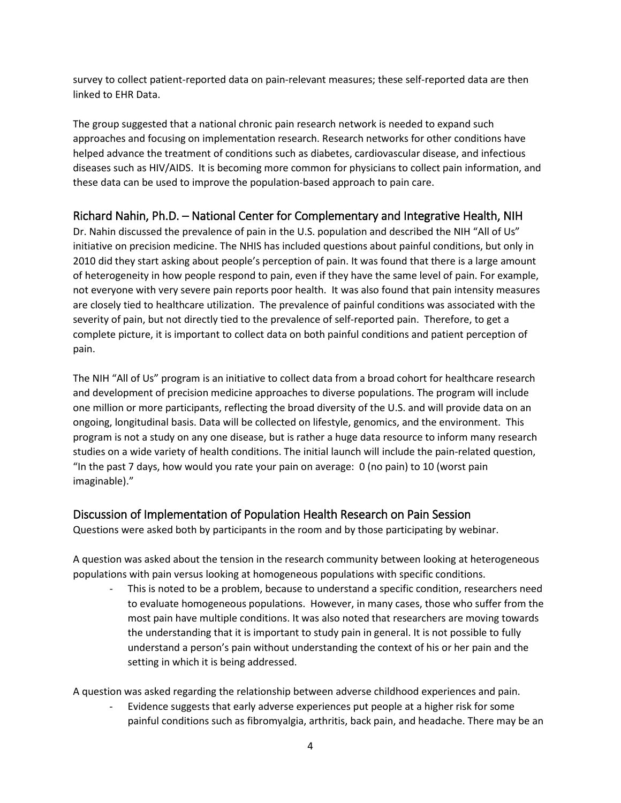survey to collect patient-reported data on pain-relevant measures; these self-reported data are then linked to EHR Data.

The group suggested that a national chronic pain research network is needed to expand such approaches and focusing on implementation research. Research networks for other conditions have helped advance the treatment of conditions such as diabetes, cardiovascular disease, and infectious diseases such as HIV/AIDS. It is becoming more common for physicians to collect pain information, and these data can be used to improve the population-based approach to pain care.

### Richard Nahin, Ph.D. – National Center for Complementary and Integrative Health, NIH

Dr. Nahin discussed the prevalence of pain in the U.S. population and described the NIH "All of Us" initiative on precision medicine. The NHIS has included questions about painful conditions, but only in 2010 did they start asking about people's perception of pain. It was found that there is a large amount of heterogeneity in how people respond to pain, even if they have the same level of pain. For example, not everyone with very severe pain reports poor health. It was also found that pain intensity measures are closely tied to healthcare utilization. The prevalence of painful conditions was associated with the severity of pain, but not directly tied to the prevalence of self-reported pain. Therefore, to get a complete picture, it is important to collect data on both painful conditions and patient perception of pain.

The NIH "All of Us" program is an initiative to collect data from a broad cohort for healthcare research and development of precision medicine approaches to diverse populations. The program will include one million or more participants, reflecting the broad diversity of the U.S. and will provide data on an ongoing, longitudinal basis. Data will be collected on lifestyle, genomics, and the environment. This program is not a study on any one disease, but is rather a huge data resource to inform many research studies on a wide variety of health conditions. The initial launch will include the pain-related question, "In the past 7 days, how would you rate your pain on average: 0 (no pain) to 10 (worst pain imaginable)."

### Discussion of Implementation of Population Health Research on Pain Session

Questions were asked both by participants in the room and by those participating by webinar.

A question was asked about the tension in the research community between looking at heterogeneous populations with pain versus looking at homogeneous populations with specific conditions.

This is noted to be a problem, because to understand a specific condition, researchers need to evaluate homogeneous populations. However, in many cases, those who suffer from the most pain have multiple conditions. It was also noted that researchers are moving towards the understanding that it is important to study pain in general. It is not possible to fully understand a person's pain without understanding the context of his or her pain and the setting in which it is being addressed.

A question was asked regarding the relationship between adverse childhood experiences and pain.

Evidence suggests that early adverse experiences put people at a higher risk for some painful conditions such as fibromyalgia, arthritis, back pain, and headache. There may be an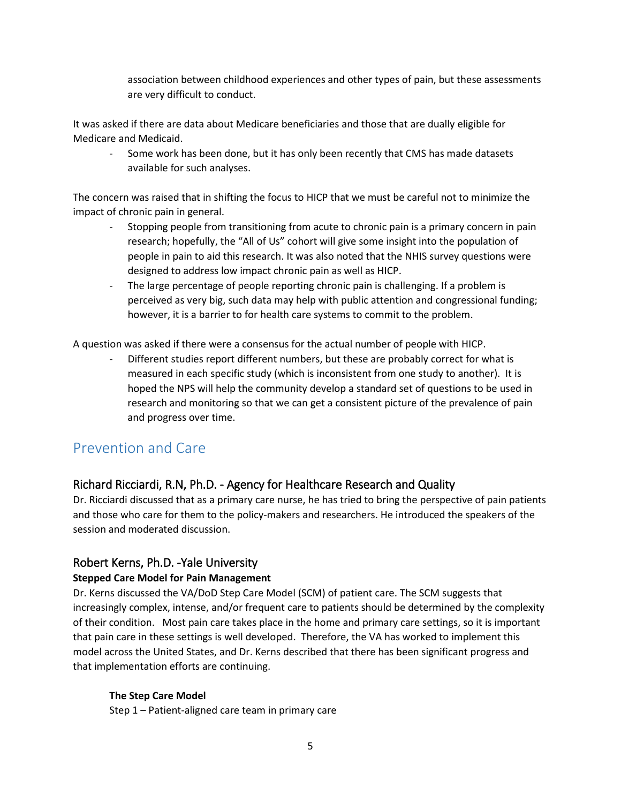association between childhood experiences and other types of pain, but these assessments are very difficult to conduct.

It was asked if there are data about Medicare beneficiaries and those that are dually eligible for Medicare and Medicaid.

- Some work has been done, but it has only been recently that CMS has made datasets available for such analyses.

The concern was raised that in shifting the focus to HICP that we must be careful not to minimize the impact of chronic pain in general.

- Stopping people from transitioning from acute to chronic pain is a primary concern in pain research; hopefully, the "All of Us" cohort will give some insight into the population of people in pain to aid this research. It was also noted that the NHIS survey questions were designed to address low impact chronic pain as well as HICP.
- The large percentage of people reporting chronic pain is challenging. If a problem is perceived as very big, such data may help with public attention and congressional funding; however, it is a barrier to for health care systems to commit to the problem.

A question was asked if there were a consensus for the actual number of people with HICP.

- Different studies report different numbers, but these are probably correct for what is measured in each specific study (which is inconsistent from one study to another). It is hoped the NPS will help the community develop a standard set of questions to be used in research and monitoring so that we can get a consistent picture of the prevalence of pain and progress over time.

## Prevention and Care

### Richard Ricciardi, R.N, Ph.D. - Agency for Healthcare Research and Quality

Dr. Ricciardi discussed that as a primary care nurse, he has tried to bring the perspective of pain patients and those who care for them to the policy-makers and researchers. He introduced the speakers of the session and moderated discussion.

### Robert Kerns, Ph.D. -Yale University

#### **Stepped Care Model for Pain Management**

Dr. Kerns discussed the VA/DoD Step Care Model (SCM) of patient care. The SCM suggests that increasingly complex, intense, and/or frequent care to patients should be determined by the complexity of their condition. Most pain care takes place in the home and primary care settings, so it is important that pain care in these settings is well developed. Therefore, the VA has worked to implement this model across the United States, and Dr. Kerns described that there has been significant progress and that implementation efforts are continuing.

#### **The Step Care Model**

Step 1 – Patient-aligned care team in primary care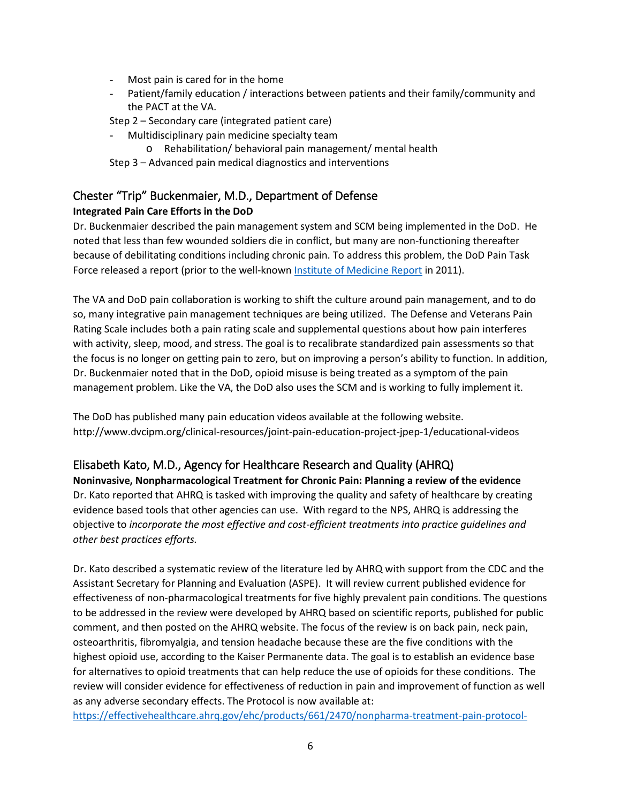- Most pain is cared for in the home
- Patient/family education / interactions between patients and their family/community and the PACT at the VA.
- Step 2 Secondary care (integrated patient care)
- Multidisciplinary pain medicine specialty team
	- o Rehabilitation/ behavioral pain management/ mental health
- Step 3 Advanced pain medical diagnostics and interventions

# Chester "Trip" Buckenmaier, M.D., Department of Defense

## **Integrated Pain Care Efforts in the DoD**

Dr. Buckenmaier described the pain management system and SCM being implemented in the DoD. He noted that less than few wounded soldiers die in conflict, but many are non-functioning thereafter because of debilitating conditions including chronic pain. To address this problem, the DoD Pain Task Force released a report (prior to the well-known [Institute of Medicine Report](https://www.ncbi.nlm.nih.gov/pubmed/22553896/) in 2011).

The VA and DoD pain collaboration is working to shift the culture around pain management, and to do so, many integrative pain management techniques are being utilized. The Defense and Veterans Pain Rating Scale includes both a pain rating scale and supplemental questions about how pain interferes with activity, sleep, mood, and stress. The goal is to recalibrate standardized pain assessments so that the focus is no longer on getting pain to zero, but on improving a person's ability to function. In addition, Dr. Buckenmaier noted that in the DoD, opioid misuse is being treated as a symptom of the pain management problem. Like the VA, the DoD also uses the SCM and is working to fully implement it.

The DoD has published many pain education videos available at the following website. http://www.dvcipm.org/clinical-resources/joint-pain-education-project-jpep-1/educational-videos

## Elisabeth Kato, M.D., Agency for Healthcare Research and Quality (AHRQ)

**Noninvasive, Nonpharmacological Treatment for Chronic Pain: Planning a review of the evidence** Dr. Kato reported that AHRQ is tasked with improving the quality and safety of healthcare by creating evidence based tools that other agencies can use. With regard to the NPS, AHRQ is addressing the objective to *incorporate the most effective and cost-efficient treatments into practice guidelines and other best practices efforts.*

Dr. Kato described a systematic review of the literature led by AHRQ with support from the CDC and the Assistant Secretary for Planning and Evaluation (ASPE). It will review current published evidence for effectiveness of non-pharmacological treatments for five highly prevalent pain conditions. The questions to be addressed in the review were developed by AHRQ based on scientific reports, published for public comment, and then posted on the AHRQ website. The focus of the review is on back pain, neck pain, osteoarthritis, fibromyalgia, and tension headache because these are the five conditions with the highest opioid use, according to the Kaiser Permanente data. The goal is to establish an evidence base for alternatives to opioid treatments that can help reduce the use of opioids for these conditions. The review will consider evidence for effectiveness of reduction in pain and improvement of function as well as any adverse secondary effects. The Protocol is now available at:

[https://effectivehealthcare.ahrq.gov/ehc/products/661/2470/nonpharma-treatment-pain-protocol-](https://effectivehealthcare.ahrq.gov/ehc/products/661/2470/nonpharma-treatment-pain-protocol-170426.pdf)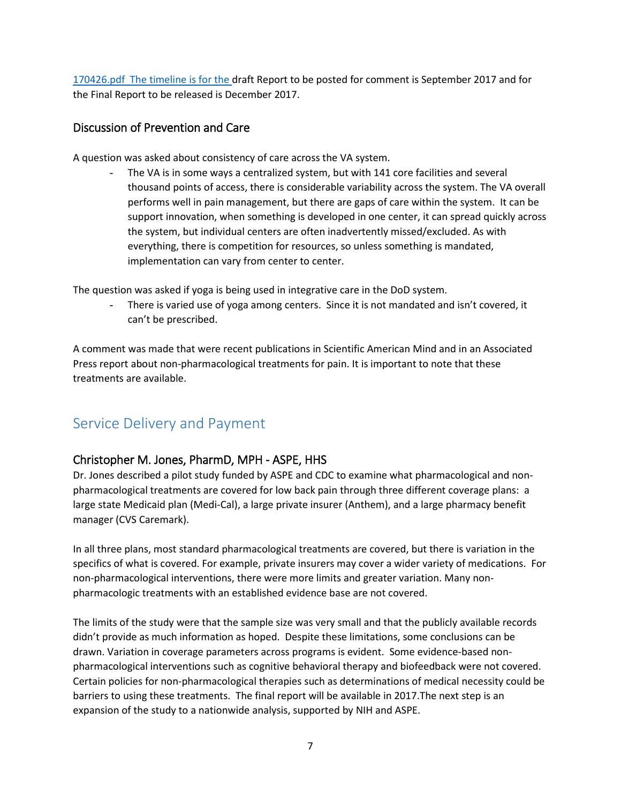[170426.pdf](https://effectivehealthcare.ahrq.gov/ehc/products/661/2470/nonpharma-treatment-pain-protocol-170426.pdf) The timeline is for the draft Report to be posted for comment is September 2017 and for the Final Report to be released is December 2017.

### Discussion of Prevention and Care

A question was asked about consistency of care across the VA system.

The VA is in some ways a centralized system, but with 141 core facilities and several thousand points of access, there is considerable variability across the system. The VA overall performs well in pain management, but there are gaps of care within the system. It can be support innovation, when something is developed in one center, it can spread quickly across the system, but individual centers are often inadvertently missed/excluded. As with everything, there is competition for resources, so unless something is mandated, implementation can vary from center to center.

The question was asked if yoga is being used in integrative care in the DoD system.

There is varied use of yoga among centers. Since it is not mandated and isn't covered, it can't be prescribed.

A comment was made that were recent publications in Scientific American Mind and in an Associated Press report about non-pharmacological treatments for pain. It is important to note that these treatments are available.

## Service Delivery and Payment

### Christopher M. Jones, PharmD, MPH - ASPE, HHS

Dr. Jones described a pilot study funded by ASPE and CDC to examine what pharmacological and nonpharmacological treatments are covered for low back pain through three different coverage plans: a large state Medicaid plan (Medi-Cal), a large private insurer (Anthem), and a large pharmacy benefit manager (CVS Caremark).

In all three plans, most standard pharmacological treatments are covered, but there is variation in the specifics of what is covered. For example, private insurers may cover a wider variety of medications. For non-pharmacological interventions, there were more limits and greater variation. Many nonpharmacologic treatments with an established evidence base are not covered.

The limits of the study were that the sample size was very small and that the publicly available records didn't provide as much information as hoped. Despite these limitations, some conclusions can be drawn. Variation in coverage parameters across programs is evident. Some evidence-based nonpharmacological interventions such as cognitive behavioral therapy and biofeedback were not covered. Certain policies for non-pharmacological therapies such as determinations of medical necessity could be barriers to using these treatments. The final report will be available in 2017.The next step is an expansion of the study to a nationwide analysis, supported by NIH and ASPE.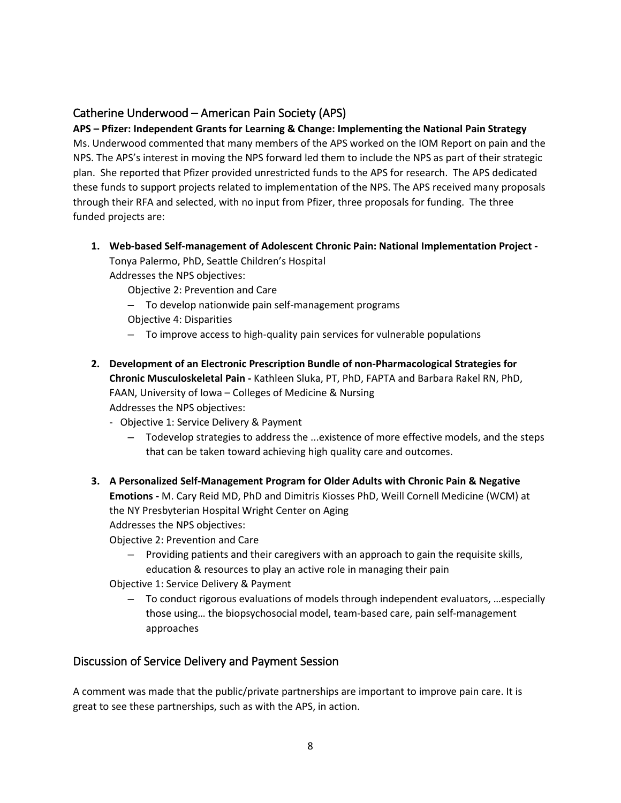## Catherine Underwood – American Pain Society (APS)

**APS – Pfizer: Independent Grants for Learning & Change: Implementing the National Pain Strategy** Ms. Underwood commented that many members of the APS worked on the IOM Report on pain and the NPS. The APS's interest in moving the NPS forward led them to include the NPS as part of their strategic plan. She reported that Pfizer provided unrestricted funds to the APS for research. The APS dedicated these funds to support projects related to implementation of the NPS. The APS received many proposals through their RFA and selected, with no input from Pfizer, three proposals for funding. The three funded projects are:

#### **1. Web-based Self-management of Adolescent Chronic Pain: National Implementation Project -**

Tonya Palermo, PhD, Seattle Children's Hospital Addresses the NPS objectives:

Objective 2: Prevention and Care

- To develop nationwide pain self-management programs
- Objective 4: Disparities
- To improve access to high-quality pain services for vulnerable populations
- **2. Development of an Electronic Prescription Bundle of non-Pharmacological Strategies for Chronic Musculoskeletal Pain -** Kathleen Sluka, PT, PhD, FAPTA and Barbara Rakel RN, PhD, FAAN, University of Iowa – Colleges of Medicine & Nursing Addresses the NPS objectives:
	- Objective 1: Service Delivery & Payment
		- Todevelop strategies to address the ...existence of more effective models, and the steps that can be taken toward achieving high quality care and outcomes.
- **3. A Personalized Self-Management Program for Older Adults with Chronic Pain & Negative Emotions -** M. Cary Reid MD, PhD and Dimitris Kiosses PhD, Weill Cornell Medicine (WCM) at the NY Presbyterian Hospital Wright Center on Aging Addresses the NPS objectives:

Objective 2: Prevention and Care

– Providing patients and their caregivers with an approach to gain the requisite skills, education & resources to play an active role in managing their pain

Objective 1: Service Delivery & Payment

– To conduct rigorous evaluations of models through independent evaluators, …especially those using… the biopsychosocial model, team-based care, pain self-management approaches

## Discussion of Service Delivery and Payment Session

A comment was made that the public/private partnerships are important to improve pain care. It is great to see these partnerships, such as with the APS, in action.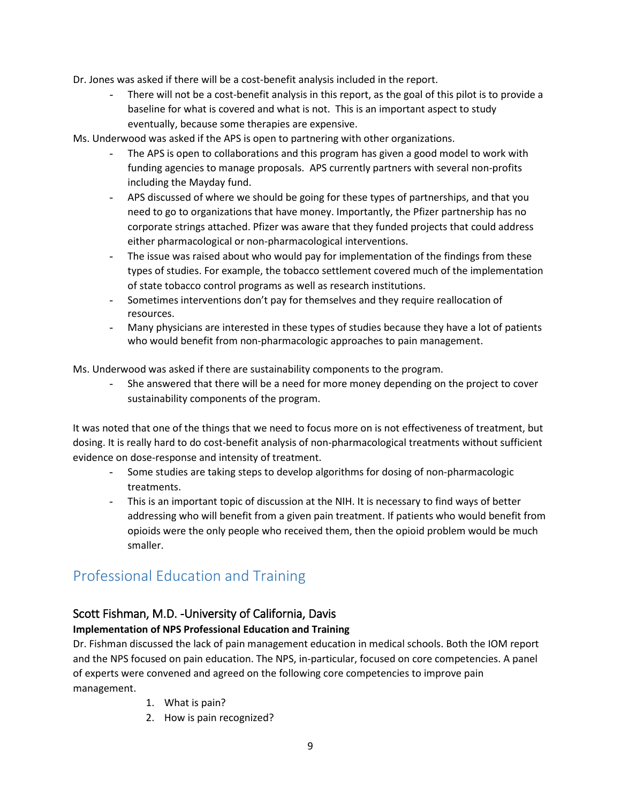- Dr. Jones was asked if there will be a cost-benefit analysis included in the report.
	- There will not be a cost-benefit analysis in this report, as the goal of this pilot is to provide a baseline for what is covered and what is not. This is an important aspect to study eventually, because some therapies are expensive.

Ms. Underwood was asked if the APS is open to partnering with other organizations.

- The APS is open to collaborations and this program has given a good model to work with funding agencies to manage proposals. APS currently partners with several non-profits including the Mayday fund.
- APS discussed of where we should be going for these types of partnerships, and that you need to go to organizations that have money. Importantly, the Pfizer partnership has no corporate strings attached. Pfizer was aware that they funded projects that could address either pharmacological or non-pharmacological interventions.
- The issue was raised about who would pay for implementation of the findings from these types of studies. For example, the tobacco settlement covered much of the implementation of state tobacco control programs as well as research institutions.
- Sometimes interventions don't pay for themselves and they require reallocation of resources.
- Many physicians are interested in these types of studies because they have a lot of patients who would benefit from non-pharmacologic approaches to pain management.

Ms. Underwood was asked if there are sustainability components to the program.

She answered that there will be a need for more money depending on the project to cover sustainability components of the program.

It was noted that one of the things that we need to focus more on is not effectiveness of treatment, but dosing. It is really hard to do cost-benefit analysis of non-pharmacological treatments without sufficient evidence on dose-response and intensity of treatment.

- Some studies are taking steps to develop algorithms for dosing of non-pharmacologic treatments.
- This is an important topic of discussion at the NIH. It is necessary to find ways of better addressing who will benefit from a given pain treatment. If patients who would benefit from opioids were the only people who received them, then the opioid problem would be much smaller.

## Professional Education and Training

## Scott Fishman, M.D. -University of California, Davis

### **Implementation of NPS Professional Education and Training**

Dr. Fishman discussed the lack of pain management education in medical schools. Both the IOM report and the NPS focused on pain education. The NPS, in-particular, focused on core competencies. A panel of experts were convened and agreed on the following core competencies to improve pain management.

- 1. What is pain?
- 2. How is pain recognized?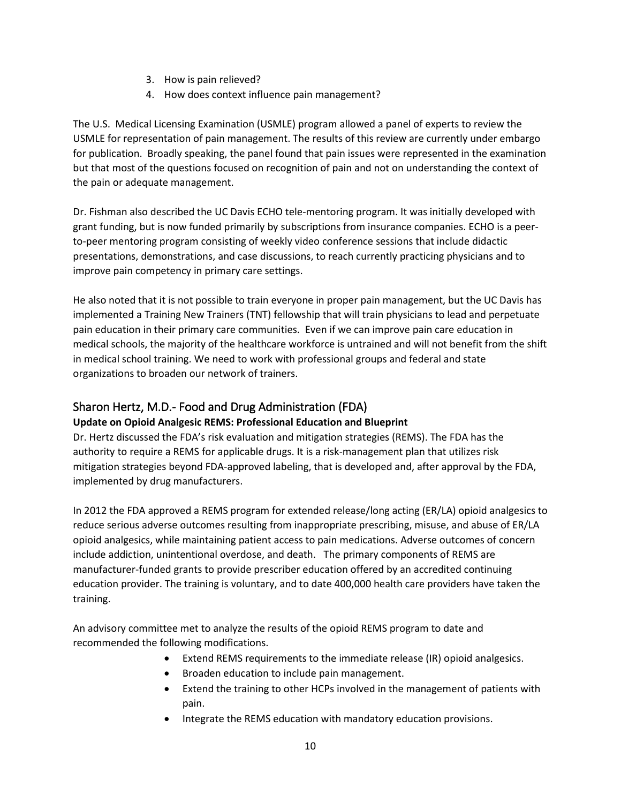- 3. How is pain relieved?
- 4. How does context influence pain management?

The U.S. Medical Licensing Examination (USMLE) program allowed a panel of experts to review the USMLE for representation of pain management. The results of this review are currently under embargo for publication. Broadly speaking, the panel found that pain issues were represented in the examination but that most of the questions focused on recognition of pain and not on understanding the context of the pain or adequate management.

Dr. Fishman also described the UC Davis ECHO tele-mentoring program. It was initially developed with grant funding, but is now funded primarily by subscriptions from insurance companies. ECHO is a peerto-peer mentoring program consisting of weekly video conference sessions that include didactic presentations, demonstrations, and case discussions, to reach currently practicing physicians and to improve pain competency in primary care settings.

He also noted that it is not possible to train everyone in proper pain management, but the UC Davis has implemented a Training New Trainers (TNT) fellowship that will train physicians to lead and perpetuate pain education in their primary care communities. Even if we can improve pain care education in medical schools, the majority of the healthcare workforce is untrained and will not benefit from the shift in medical school training. We need to work with professional groups and federal and state organizations to broaden our network of trainers.

### Sharon Hertz, M.D.- Food and Drug Administration (FDA)

#### **Update on Opioid Analgesic REMS: Professional Education and Blueprint**

Dr. Hertz discussed the FDA's risk evaluation and mitigation strategies (REMS). The FDA has the authority to require a REMS for applicable drugs. It is a risk-management plan that utilizes risk mitigation strategies beyond FDA-approved labeling, that is developed and, after approval by the FDA, implemented by drug manufacturers.

In 2012 the FDA approved a REMS program for extended release/long acting (ER/LA) opioid analgesics to reduce serious adverse outcomes resulting from inappropriate prescribing, misuse, and abuse of ER/LA opioid analgesics, while maintaining patient access to pain medications. Adverse outcomes of concern include addiction, unintentional overdose, and death. The primary components of REMS are manufacturer-funded grants to provide prescriber education offered by an accredited continuing education provider. The training is voluntary, and to date 400,000 health care providers have taken the training.

An advisory committee met to analyze the results of the opioid REMS program to date and recommended the following modifications.

- Extend REMS requirements to the immediate release (IR) opioid analgesics.
- Broaden education to include pain management.
- Extend the training to other HCPs involved in the management of patients with pain.
- Integrate the REMS education with mandatory education provisions.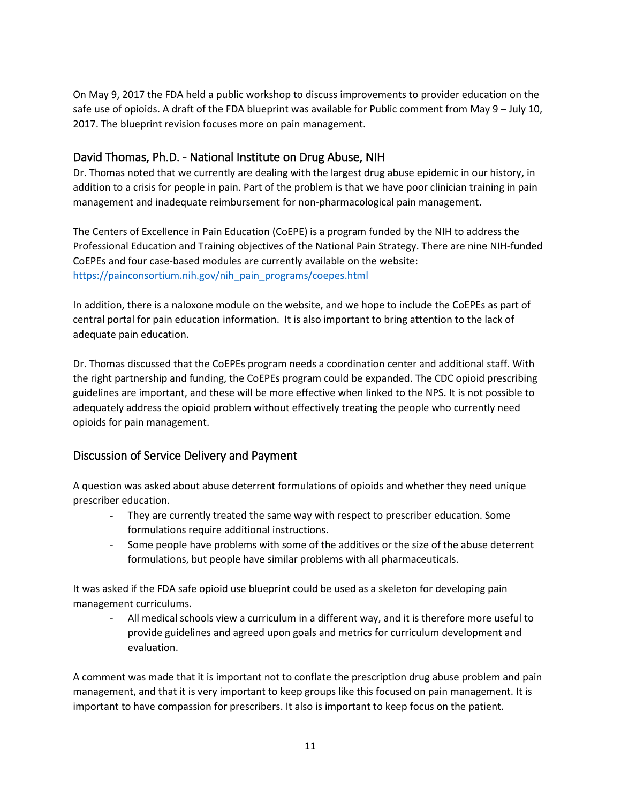On May 9, 2017 the FDA held a public workshop to discuss improvements to provider education on the safe use of opioids. A draft of the FDA blueprint was available for Public comment from May 9 – July 10, 2017. The blueprint revision focuses more on pain management.

## David Thomas, Ph.D. - National Institute on Drug Abuse, NIH

Dr. Thomas noted that we currently are dealing with the largest drug abuse epidemic in our history, in addition to a crisis for people in pain. Part of the problem is that we have poor clinician training in pain management and inadequate reimbursement for non-pharmacological pain management.

The Centers of Excellence in Pain Education (CoEPE) is a program funded by the NIH to address the Professional Education and Training objectives of the National Pain Strategy. There are nine NIH-funded CoEPEs and four case-based modules are currently available on the website: [https://painconsortium.nih.gov/nih\\_pain\\_programs/coepes.html](https://painconsortium.nih.gov/nih_pain_programs/coepes.html)

In addition, there is a naloxone module on the website, and we hope to include the CoEPEs as part of central portal for pain education information. It is also important to bring attention to the lack of adequate pain education.

Dr. Thomas discussed that the CoEPEs program needs a coordination center and additional staff. With the right partnership and funding, the CoEPEs program could be expanded. The CDC opioid prescribing guidelines are important, and these will be more effective when linked to the NPS. It is not possible to adequately address the opioid problem without effectively treating the people who currently need opioids for pain management.

### Discussion of Service Delivery and Payment

A question was asked about abuse deterrent formulations of opioids and whether they need unique prescriber education.

- They are currently treated the same way with respect to prescriber education. Some formulations require additional instructions.
- Some people have problems with some of the additives or the size of the abuse deterrent formulations, but people have similar problems with all pharmaceuticals.

It was asked if the FDA safe opioid use blueprint could be used as a skeleton for developing pain management curriculums.

All medical schools view a curriculum in a different way, and it is therefore more useful to provide guidelines and agreed upon goals and metrics for curriculum development and evaluation.

A comment was made that it is important not to conflate the prescription drug abuse problem and pain management, and that it is very important to keep groups like this focused on pain management. It is important to have compassion for prescribers. It also is important to keep focus on the patient.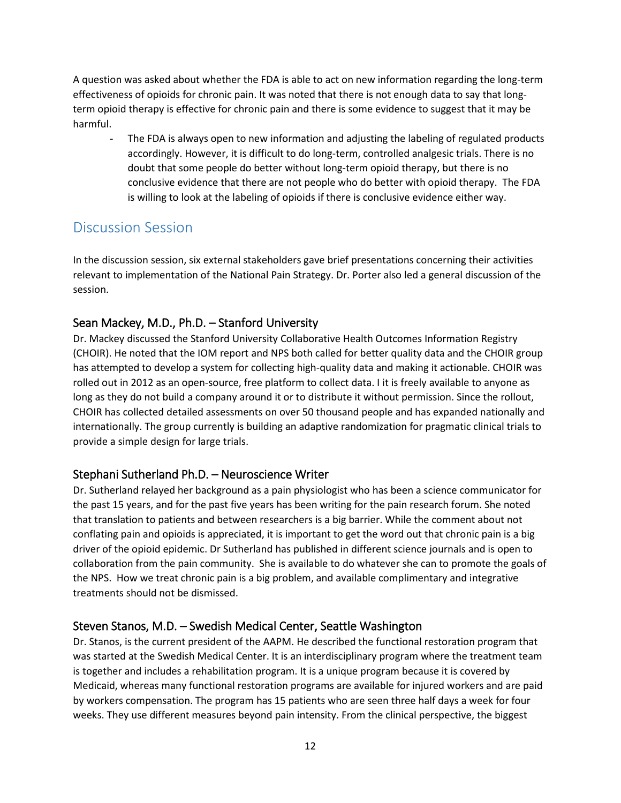A question was asked about whether the FDA is able to act on new information regarding the long-term effectiveness of opioids for chronic pain. It was noted that there is not enough data to say that longterm opioid therapy is effective for chronic pain and there is some evidence to suggest that it may be harmful.

The FDA is always open to new information and adjusting the labeling of regulated products accordingly. However, it is difficult to do long-term, controlled analgesic trials. There is no doubt that some people do better without long-term opioid therapy, but there is no conclusive evidence that there are not people who do better with opioid therapy. The FDA is willing to look at the labeling of opioids if there is conclusive evidence either way.

## Discussion Session

In the discussion session, six external stakeholders gave brief presentations concerning their activities relevant to implementation of the National Pain Strategy. Dr. Porter also led a general discussion of the session.

## Sean Mackey, M.D., Ph.D. – Stanford University

Dr. Mackey discussed the Stanford University Collaborative Health Outcomes Information Registry (CHOIR). He noted that the IOM report and NPS both called for better quality data and the CHOIR group has attempted to develop a system for collecting high-quality data and making it actionable. CHOIR was rolled out in 2012 as an open-source, free platform to collect data. I it is freely available to anyone as long as they do not build a company around it or to distribute it without permission. Since the rollout, CHOIR has collected detailed assessments on over 50 thousand people and has expanded nationally and internationally. The group currently is building an adaptive randomization for pragmatic clinical trials to provide a simple design for large trials.

## Stephani Sutherland Ph.D. – Neuroscience Writer

Dr. Sutherland relayed her background as a pain physiologist who has been a science communicator for the past 15 years, and for the past five years has been writing for the pain research forum. She noted that translation to patients and between researchers is a big barrier. While the comment about not conflating pain and opioids is appreciated, it is important to get the word out that chronic pain is a big driver of the opioid epidemic. Dr Sutherland has published in different science journals and is open to collaboration from the pain community. She is available to do whatever she can to promote the goals of the NPS. How we treat chronic pain is a big problem, and available complimentary and integrative treatments should not be dismissed.

## Steven Stanos, M.D. – Swedish Medical Center, Seattle Washington

Dr. Stanos, is the current president of the AAPM. He described the functional restoration program that was started at the Swedish Medical Center. It is an interdisciplinary program where the treatment team is together and includes a rehabilitation program. It is a unique program because it is covered by Medicaid, whereas many functional restoration programs are available for injured workers and are paid by workers compensation. The program has 15 patients who are seen three half days a week for four weeks. They use different measures beyond pain intensity. From the clinical perspective, the biggest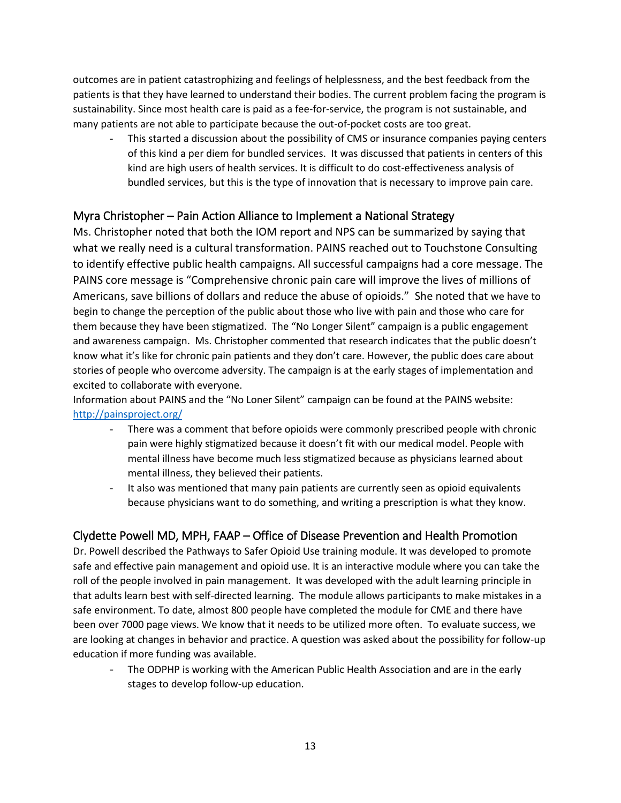outcomes are in patient catastrophizing and feelings of helplessness, and the best feedback from the patients is that they have learned to understand their bodies. The current problem facing the program is sustainability. Since most health care is paid as a fee-for-service, the program is not sustainable, and many patients are not able to participate because the out-of-pocket costs are too great.

This started a discussion about the possibility of CMS or insurance companies paying centers of this kind a per diem for bundled services. It was discussed that patients in centers of this kind are high users of health services. It is difficult to do cost-effectiveness analysis of bundled services, but this is the type of innovation that is necessary to improve pain care.

### Myra Christopher – Pain Action Alliance to Implement a National Strategy

Ms. Christopher noted that both the IOM report and NPS can be summarized by saying that what we really need is a cultural transformation. PAINS reached out to Touchstone Consulting to identify effective public health campaigns. All successful campaigns had a core message. The PAINS core message is "Comprehensive chronic pain care will improve the lives of millions of Americans, save billions of dollars and reduce the abuse of opioids." She noted that we have to begin to change the perception of the public about those who live with pain and those who care for them because they have been stigmatized. The "No Longer Silent" campaign is a public engagement and awareness campaign. Ms. Christopher commented that research indicates that the public doesn't know what it's like for chronic pain patients and they don't care. However, the public does care about stories of people who overcome adversity. The campaign is at the early stages of implementation and excited to collaborate with everyone.

Information about PAINS and the "No Loner Silent" campaign can be found at the PAINS website: <http://painsproject.org/>

- There was a comment that before opioids were commonly prescribed people with chronic pain were highly stigmatized because it doesn't fit with our medical model. People with mental illness have become much less stigmatized because as physicians learned about mental illness, they believed their patients.
- It also was mentioned that many pain patients are currently seen as opioid equivalents because physicians want to do something, and writing a prescription is what they know.

## Clydette Powell MD, MPH, FAAP – Office of Disease Prevention and Health Promotion

Dr. Powell described the Pathways to Safer Opioid Use training module. It was developed to promote safe and effective pain management and opioid use. It is an interactive module where you can take the roll of the people involved in pain management. It was developed with the adult learning principle in that adults learn best with self-directed learning. The module allows participants to make mistakes in a safe environment. To date, almost 800 people have completed the module for CME and there have been over 7000 page views. We know that it needs to be utilized more often. To evaluate success, we are looking at changes in behavior and practice. A question was asked about the possibility for follow-up education if more funding was available.

- The ODPHP is working with the American Public Health Association and are in the early stages to develop follow-up education.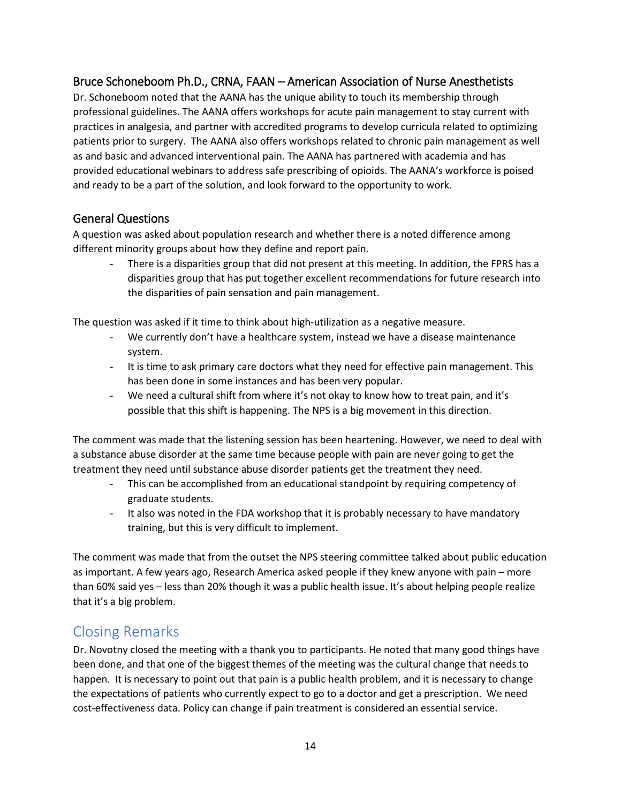## Bruce Schoneboom Ph.D., CRNA, FAAN – American Association of Nurse Anesthetists

Dr. Schoneboom noted that the AANA has the unique ability to touch its membership through professional guidelines. The AANA offers workshops for acute pain management to stay current with practices in analgesia, and partner with accredited programs to develop curricula related to optimizing patients prior to surgery. The AANA also offers workshops related to chronic pain management as well as and basic and advanced interventional pain. The AANA has partnered with academia and has provided educational webinars to address safe prescribing of opioids. The AANA's workforce is poised and ready to be a part of the solution, and look forward to the opportunity to work.

### General Questions

A question was asked about population research and whether there is a noted difference among different minority groups about how they define and report pain.

There is a disparities group that did not present at this meeting. In addition, the FPRS has a disparities group that has put together excellent recommendations for future research into the disparities of pain sensation and pain management.

The question was asked if it time to think about high-utilization as a negative measure.

- We currently don't have a healthcare system, instead we have a disease maintenance system.
- It is time to ask primary care doctors what they need for effective pain management. This has been done in some instances and has been very popular.
- We need a cultural shift from where it's not okay to know how to treat pain, and it's possible that this shift is happening. The NPS is a big movement in this direction.

The comment was made that the listening session has been heartening. However, we need to deal with a substance abuse disorder at the same time because people with pain are never going to get the treatment they need until substance abuse disorder patients get the treatment they need.

- This can be accomplished from an educational standpoint by requiring competency of graduate students.
- It also was noted in the FDA workshop that it is probably necessary to have mandatory training, but this is very difficult to implement.

The comment was made that from the outset the NPS steering committee talked about public education as important. A few years ago, Research America asked people if they knew anyone with pain – more than 60% said yes – less than 20% though it was a public health issue. It's about helping people realize that it's a big problem.

## Closing Remarks

Dr. Novotny closed the meeting with a thank you to participants. He noted that many good things have been done, and that one of the biggest themes of the meeting was the cultural change that needs to happen. It is necessary to point out that pain is a public health problem, and it is necessary to change the expectations of patients who currently expect to go to a doctor and get a prescription. We need cost-effectiveness data. Policy can change if pain treatment is considered an essential service.